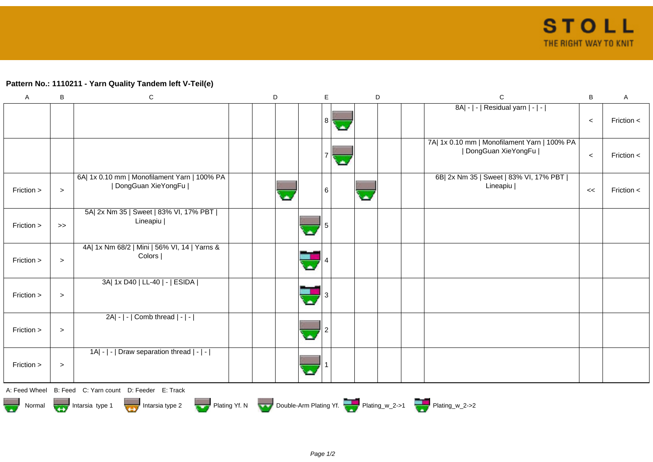## **Pattern No.: 1110211 - Yarn Quality Tandem left V-Teil(e)**

| A             | B      | $\mathsf C$                                                          | D |   | E. | D |  | $\mathsf C$                                                          | B     | A              |
|---------------|--------|----------------------------------------------------------------------|---|---|----|---|--|----------------------------------------------------------------------|-------|----------------|
|               |        |                                                                      |   |   | 8  |   |  | 8A  -   -   Residual yarn   -   -                                    | $\,<$ | Friction $\lt$ |
|               |        |                                                                      |   |   |    |   |  | 7A  1x 0.10 mm   Monofilament Yarn   100% PA<br>  DongGuan XieYongFu | $\,<$ | Friction $\lt$ |
| Friction >    | $\geq$ | 6A  1x 0.10 mm   Monofilament Yarn   100% PA<br>  DongGuan XieYongFu |   |   | 6  | w |  | 6B  2x Nm 35   Sweet   83% VI, 17% PBT  <br>Lineapiu                 | <<    | Friction $\lt$ |
| Friction >    | $>>$   | 5A  2x Nm 35   Sweet   83% VI, 17% PBT  <br>Lineapiu                 |   |   |    |   |  |                                                                      |       |                |
| Friction >    | $\,>$  | 4A  1x Nm 68/2   Mini   56% VI, 14   Yarns &<br>Colors               |   |   |    |   |  |                                                                      |       |                |
| Friction >    | $\geq$ | 3A  1x D40   LL-40   -   ESIDA                                       |   |   |    |   |  |                                                                      |       |                |
| Friction >    | $\geq$ | 2A  -   -   Comb thread   -   -                                      |   | × |    |   |  |                                                                      |       |                |
| Friction >    | $\,>$  | 1A  -   -   Draw separation thread   -   -                           |   |   |    |   |  |                                                                      |       |                |
|               |        | A: Feed Wheel B: Feed C: Yarn count D: Feeder E: Track               |   |   |    |   |  |                                                                      |       |                |
| <b>The Co</b> |        | Normal <b>The Intarsia type 1</b><br>Intarsia type 2                 |   |   |    |   |  | Plating Yf. N Double-Arm Plating Yf. Plating_w_2->1 Plating_w_2->2   |       |                |